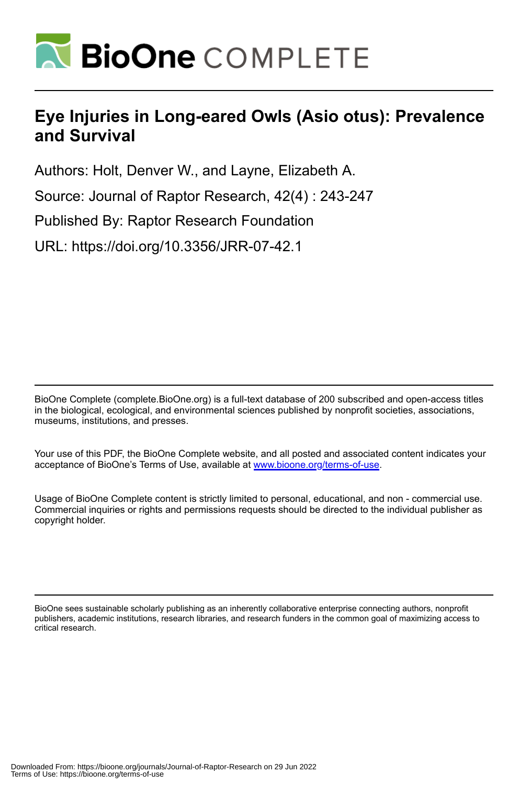

# **Eye Injuries in Long-eared Owls (Asio otus): Prevalence and Survival**

Authors: Holt, Denver W., and Layne, Elizabeth A.

Source: Journal of Raptor Research, 42(4) : 243-247

Published By: Raptor Research Foundation

URL: https://doi.org/10.3356/JRR-07-42.1

BioOne Complete (complete.BioOne.org) is a full-text database of 200 subscribed and open-access titles in the biological, ecological, and environmental sciences published by nonprofit societies, associations, museums, institutions, and presses.

Your use of this PDF, the BioOne Complete website, and all posted and associated content indicates your acceptance of BioOne's Terms of Use, available at www.bioone.org/terms-of-use.

Usage of BioOne Complete content is strictly limited to personal, educational, and non - commercial use. Commercial inquiries or rights and permissions requests should be directed to the individual publisher as copyright holder.

BioOne sees sustainable scholarly publishing as an inherently collaborative enterprise connecting authors, nonprofit publishers, academic institutions, research libraries, and research funders in the common goal of maximizing access to critical research.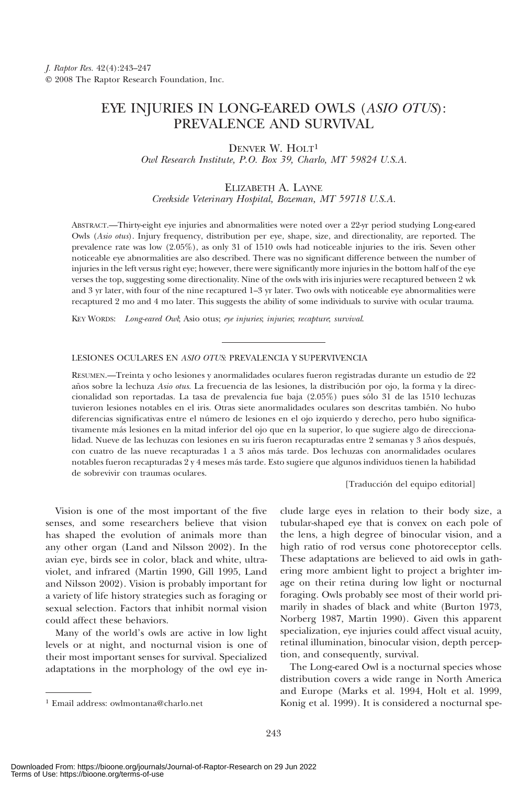# EYE INJURIES IN LONG-EARED OWLS (ASIO OTUS): PREVALENCE AND SURVIVAL

DENVER W. HOLT1

Owl Research Institute, P.O. Box 39, Charlo, MT 59824 U.S.A.

# ELIZABETH A. LAYNE Creekside Veterinary Hospital, Bozeman, MT 59718 U.S.A.

ABSTRACT.—Thirty-eight eye injuries and abnormalities were noted over a 22-yr period studying Long-eared Owls (Asio otus). Injury frequency, distribution per eye, shape, size, and directionality, are reported. The prevalence rate was low (2.05%), as only 31 of 1510 owls had noticeable injuries to the iris. Seven other noticeable eye abnormalities are also described. There was no significant difference between the number of injuries in the left versus right eye; however, there were significantly more injuries in the bottom half of the eye verses the top, suggesting some directionality. Nine of the owls with iris injuries were recaptured between 2 wk and 3 yr later, with four of the nine recaptured 1–3 yr later. Two owls with noticeable eye abnormalities were recaptured 2 mo and 4 mo later. This suggests the ability of some individuals to survive with ocular trauma.

KEY WORDS: Long-eared Owl; Asio otus; eye injuries; injuries; recapture; survival.

# LESIONES OCULARES EN ASIO OTUS: PREVALENCIA Y SUPERVIVENCIA

RESUMEN.—Treinta y ocho lesiones y anormalidades oculares fueron registradas durante un estudio de 22 años sobre la lechuza Asio otus. La frecuencia de las lesiones, la distribución por ojo, la forma y la direccionalidad son reportadas. La tasa de prevalencia fue baja (2.05%) pues sólo 31 de las 1510 lechuzas tuvieron lesiones notables en el iris. Otras siete anormalidades oculares son descritas también. No hubo diferencias significativas entre el número de lesiones en el ojo izquierdo y derecho, pero hubo significativamente más lesiones en la mitad inferior del ojo que en la superior, lo que sugiere algo de direccionalidad. Nueve de las lechuzas con lesiones en su iris fueron recapturadas entre 2 semanas y 3 años después, con cuatro de las nueve recapturadas 1 a 3 años más tarde. Dos lechuzas con anormalidades oculares notables fueron recapturadas 2 y 4 meses más tarde. Esto sugiere que algunos individuos tienen la habilidad de sobrevivir con traumas oculares.

[Traducción del equipo editorial]

Vision is one of the most important of the five senses, and some researchers believe that vision has shaped the evolution of animals more than any other organ (Land and Nilsson 2002). In the avian eye, birds see in color, black and white, ultraviolet, and infrared (Martin 1990, Gill 1995, Land and Nilsson 2002). Vision is probably important for a variety of life history strategies such as foraging or sexual selection. Factors that inhibit normal vision could affect these behaviors.

Many of the world's owls are active in low light levels or at night, and nocturnal vision is one of their most important senses for survival. Specialized adaptations in the morphology of the owl eye in-

clude large eyes in relation to their body size, a tubular-shaped eye that is convex on each pole of the lens, a high degree of binocular vision, and a high ratio of rod versus cone photoreceptor cells. These adaptations are believed to aid owls in gathering more ambient light to project a brighter image on their retina during low light or nocturnal foraging. Owls probably see most of their world primarily in shades of black and white (Burton 1973, Norberg 1987, Martin 1990). Given this apparent specialization, eye injuries could affect visual acuity, retinal illumination, binocular vision, depth perception, and consequently, survival.

The Long-eared Owl is a nocturnal species whose distribution covers a wide range in North America and Europe (Marks et al. 1994, Holt et al. 1999, <sup>1</sup> Email address: owlmontana@charlo.net **1 Email address:** owlmontana@charlo.net **1** Email address: 0wlmontana@charlo.net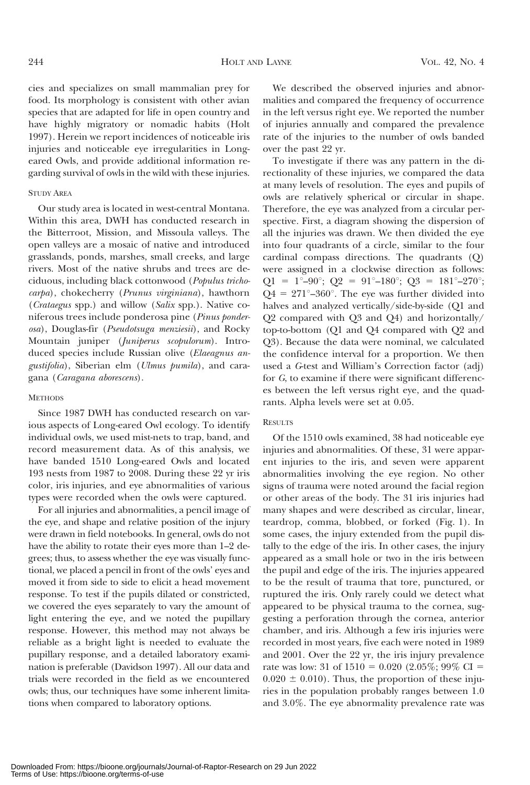cies and specializes on small mammalian prey for food. Its morphology is consistent with other avian species that are adapted for life in open country and have highly migratory or nomadic habits (Holt 1997). Herein we report incidences of noticeable iris injuries and noticeable eye irregularities in Longeared Owls, and provide additional information regarding survival of owls in the wild with these injuries.

### STUDY AREA

Our study area is located in west-central Montana. Within this area, DWH has conducted research in the Bitterroot, Mission, and Missoula valleys. The open valleys are a mosaic of native and introduced grasslands, ponds, marshes, small creeks, and large rivers. Most of the native shrubs and trees are deciduous, including black cottonwood (Populus trichocarpa), chokecherry (Prunus virginiana), hawthorn (Crataegus spp.) and willow (Salix spp.). Native coniferous trees include ponderosa pine (Pinus ponderosa), Douglas-fir (Pseudotsuga menziesii), and Rocky Mountain juniper (Juniperus scopulorum). Introduced species include Russian olive (Elaeagnus angustifolia), Siberian elm (Ulmus pumila), and caragana (Caragana aborescens).

#### **METHODS**

Since 1987 DWH has conducted research on various aspects of Long-eared Owl ecology. To identify individual owls, we used mist-nets to trap, band, and record measurement data. As of this analysis, we have banded 1510 Long-eared Owls and located 193 nests from 1987 to 2008. During these 22 yr iris color, iris injuries, and eye abnormalities of various types were recorded when the owls were captured.

For all injuries and abnormalities, a pencil image of the eye, and shape and relative position of the injury were drawn in field notebooks. In general, owls do not have the ability to rotate their eyes more than 1–2 degrees; thus, to assess whether the eye was visually functional, we placed a pencil in front of the owls' eyes and moved it from side to side to elicit a head movement response. To test if the pupils dilated or constricted, we covered the eyes separately to vary the amount of light entering the eye, and we noted the pupillary response. However, this method may not always be reliable as a bright light is needed to evaluate the pupillary response, and a detailed laboratory examination is preferable (Davidson 1997). All our data and trials were recorded in the field as we encountered owls; thus, our techniques have some inherent limitations when compared to laboratory options.

We described the observed injuries and abnormalities and compared the frequency of occurrence in the left versus right eye. We reported the number of injuries annually and compared the prevalence rate of the injuries to the number of owls banded over the past 22 yr.

To investigate if there was any pattern in the directionality of these injuries, we compared the data at many levels of resolution. The eyes and pupils of owls are relatively spherical or circular in shape. Therefore, the eye was analyzed from a circular perspective. First, a diagram showing the dispersion of all the injuries was drawn. We then divided the eye into four quadrants of a circle, similar to the four cardinal compass directions. The quadrants (Q) were assigned in a clockwise direction as follows:  $Q1 = 1^{\circ} - 90^{\circ};$   $Q2 = 91^{\circ} - 180^{\circ};$   $Q3 = 181^{\circ} - 270^{\circ};$  $Q4 = 271^{\circ} - 360^{\circ}$ . The eye was further divided into halves and analyzed vertically/side-by-side (Q1 and Q2 compared with Q3 and Q4) and horizontally/ top-to-bottom (Q1 and Q4 compared with Q2 and Q3). Because the data were nominal, we calculated the confidence interval for a proportion. We then used a G-test and William's Correction factor (adj) for G, to examine if there were significant differences between the left versus right eye, and the quadrants. Alpha levels were set at 0.05.

#### **RESULTS**

Of the 1510 owls examined, 38 had noticeable eye injuries and abnormalities. Of these, 31 were apparent injuries to the iris, and seven were apparent abnormalities involving the eye region. No other signs of trauma were noted around the facial region or other areas of the body. The 31 iris injuries had many shapes and were described as circular, linear, teardrop, comma, blobbed, or forked (Fig. 1). In some cases, the injury extended from the pupil distally to the edge of the iris. In other cases, the injury appeared as a small hole or two in the iris between the pupil and edge of the iris. The injuries appeared to be the result of trauma that tore, punctured, or ruptured the iris. Only rarely could we detect what appeared to be physical trauma to the cornea, suggesting a perforation through the cornea, anterior chamber, and iris. Although a few iris injuries were recorded in most years, five each were noted in 1989 and 2001. Over the 22 yr, the iris injury prevalence rate was low: 31 of  $1510 = 0.020$  (2.05%; 99% CI =  $0.020 \pm 0.010$ . Thus, the proportion of these injuries in the population probably ranges between 1.0 and 3.0%. The eye abnormality prevalence rate was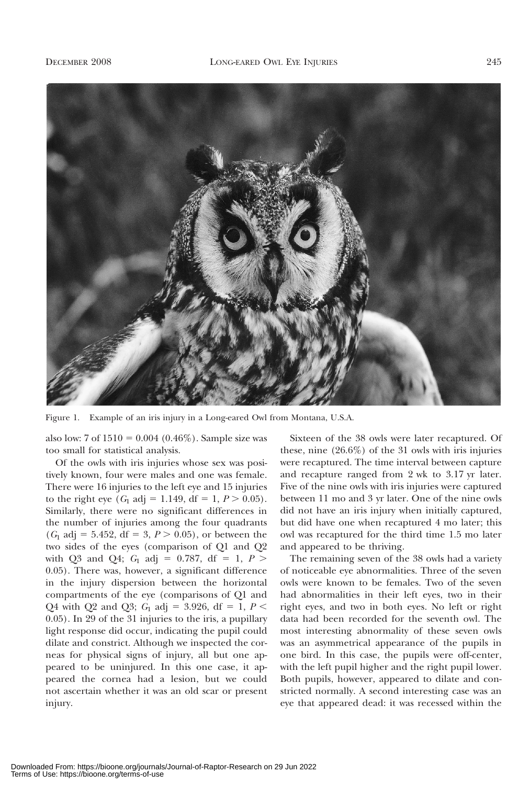

Figure 1. Example of an iris injury in a Long-eared Owl from Montana, U.S.A.

also low:  $7 \text{ of } 1510 = 0.004 \ (0.46\%)$ . Sample size was too small for statistical analysis.

Of the owls with iris injuries whose sex was positively known, four were males and one was female. There were 16 injuries to the left eye and 15 injuries to the right eye  $(G_1 \text{ adj} = 1.149, \text{ df} = 1, P > 0.05)$ . Similarly, there were no significant differences in the number of injuries among the four quadrants  $(G_1 \text{ adj} = 5.452, df = 3, P > 0.05)$ , or between the two sides of the eyes (comparison of Q1 and Q2 with Q3 and Q4;  $G_1$  adj = 0.787, df = 1,  $P >$ 0.05). There was, however, a significant difference in the injury dispersion between the horizontal compartments of the eye (comparisons of Q1 and Q4 with Q2 and Q3;  $G_1$  adj = 3.926, df = 1,  $P$  < 0.05). In 29 of the 31 injuries to the iris, a pupillary light response did occur, indicating the pupil could dilate and constrict. Although we inspected the corneas for physical signs of injury, all but one appeared to be uninjured. In this one case, it appeared the cornea had a lesion, but we could not ascertain whether it was an old scar or present injury.

Sixteen of the 38 owls were later recaptured. Of these, nine (26.6%) of the 31 owls with iris injuries were recaptured. The time interval between capture and recapture ranged from 2 wk to 3.17 yr later. Five of the nine owls with iris injuries were captured between 11 mo and 3 yr later. One of the nine owls did not have an iris injury when initially captured, but did have one when recaptured 4 mo later; this owl was recaptured for the third time 1.5 mo later and appeared to be thriving.

The remaining seven of the 38 owls had a variety of noticeable eye abnormalities. Three of the seven owls were known to be females. Two of the seven had abnormalities in their left eyes, two in their right eyes, and two in both eyes. No left or right data had been recorded for the seventh owl. The most interesting abnormality of these seven owls was an asymmetrical appearance of the pupils in one bird. In this case, the pupils were off-center, with the left pupil higher and the right pupil lower. Both pupils, however, appeared to dilate and constricted normally. A second interesting case was an eye that appeared dead: it was recessed within the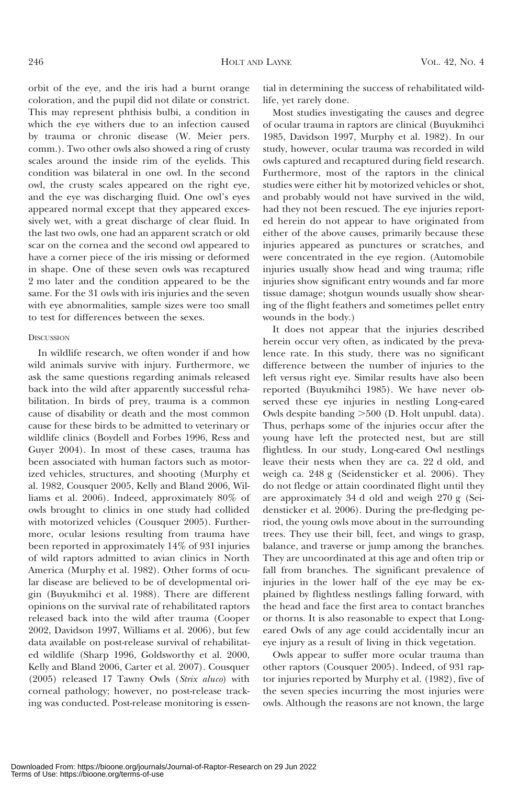orbit of the eye, and the iris had a burnt orange coloration, and the pupil did not dilate or constrict. This may represent phthisis bulbi, a condition in which the eye withers due to an infection caused by trauma or chronic disease (W. Meier pers. comm.). Two other owls also showed a ring of crusty scales around the inside rim of the eyelids. This condition was bilateral in one owl. In the second owl, the crusty scales appeared on the right eye, and the eye was discharging fluid. One owl's eyes appeared normal except that they appeared excessively wet, with a great discharge of clear fluid. In the last two owls, one had an apparent scratch or old scar on the cornea and the second owl appeared to have a corner piece of the iris missing or deformed in shape. One of these seven owls was recaptured 2 mo later and the condition appeared to be the same. For the 31 owls with iris injuries and the seven with eye abnormalities, sample sizes were too small to test for differences between the sexes.

## **DISCUSSION**

In wildlife research, we often wonder if and how wild animals survive with injury. Furthermore, we ask the same questions regarding animals released back into the wild after apparently successful rehabilitation. In birds of prey, trauma is a common cause of disability or death and the most common cause for these birds to be admitted to veterinary or wildlife clinics (Boydell and Forbes 1996, Ress and Guyer 2004). In most of these cases, trauma has been associated with human factors such as motorized vehicles, structures, and shooting (Murphy et al. 1982, Cousquer 2005, Kelly and Bland 2006, Williams et al. 2006). Indeed, approximately 80% of owls brought to clinics in one study had collided with motorized vehicles (Cousquer 2005). Furthermore, ocular lesions resulting from trauma have been reported in approximately 14% of 931 injuries of wild raptors admitted to avian clinics in North America (Murphy et al. 1982). Other forms of ocular disease are believed to be of developmental origin (Buyukmihci et al. 1988). There are different opinions on the survival rate of rehabilitated raptors released back into the wild after trauma (Cooper 2002, Davidson 1997, Williams et al. 2006), but few data available on post-release survival of rehabilitated wildlife (Sharp 1996, Goldsworthy et al. 2000, Kelly and Bland 2006, Carter et al. 2007). Cousquer (2005) released 17 Tawny Owls (Strix aluco) with corneal pathology; however, no post-release tracking was conducted. Post-release monitoring is essen-

tial in determining the success of rehabilitated wildlife, yet rarely done.

Most studies investigating the causes and degree of ocular trauma in raptors are clinical (Buyukmihci 1985, Davidson 1997, Murphy et al. 1982). In our study, however, ocular trauma was recorded in wild owls captured and recaptured during field research. Furthermore, most of the raptors in the clinical studies were either hit by motorized vehicles or shot, and probably would not have survived in the wild, had they not been rescued. The eye injuries reported herein do not appear to have originated from either of the above causes, primarily because these injuries appeared as punctures or scratches, and were concentrated in the eye region. (Automobile injuries usually show head and wing trauma; rifle injuries show significant entry wounds and far more tissue damage; shotgun wounds usually show shearing of the flight feathers and sometimes pellet entry wounds in the body.)

It does not appear that the injuries described herein occur very often, as indicated by the prevalence rate. In this study, there was no significant difference between the number of injuries to the left versus right eye. Similar results have also been reported (Buyukmihci 1985). We have never observed these eye injuries in nestling Long-eared Owls despite banding  $>500$  (D. Holt unpubl. data). Thus, perhaps some of the injuries occur after the young have left the protected nest, but are still flightless. In our study, Long-eared Owl nestlings leave their nests when they are ca. 22 d old, and weigh ca. 248 g (Seidensticker et al. 2006). They do not fledge or attain coordinated flight until they are approximately 34 d old and weigh 270 g (Seidensticker et al. 2006). During the pre-fledging period, the young owls move about in the surrounding trees. They use their bill, feet, and wings to grasp, balance, and traverse or jump among the branches. They are uncoordinated at this age and often trip or fall from branches. The significant prevalence of injuries in the lower half of the eye may be explained by flightless nestlings falling forward, with the head and face the first area to contact branches or thorns. It is also reasonable to expect that Longeared Owls of any age could accidentally incur an eye injury as a result of living in thick vegetation.

Owls appear to suffer more ocular trauma than other raptors (Cousquer 2005). Indeed, of 931 raptor injuries reported by Murphy et al. (1982), five of the seven species incurring the most injuries were owls. Although the reasons are not known, the large